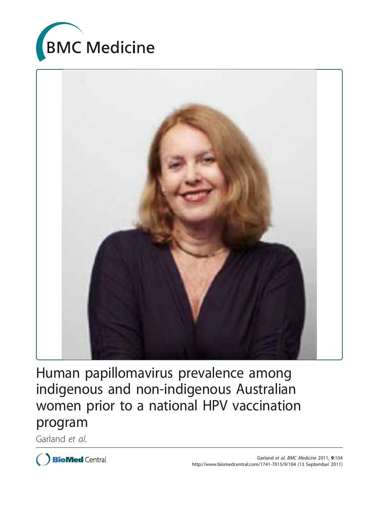



Human papillomavirus prevalence among indigenous and non-indigenous Australian women prior to a national HPV vaccination program

Garland et al.

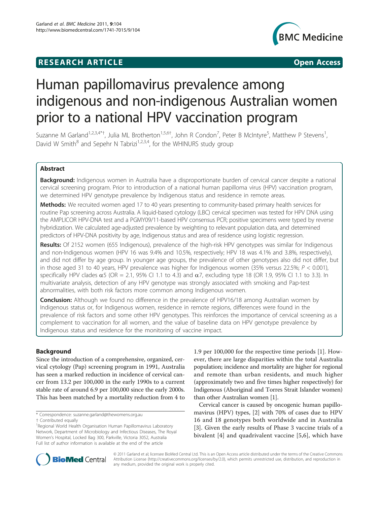## **RESEARCH ARTICLE Example 2014 CONSUMING ACCESS**



# Human papillomavirus prevalence among indigenous and non-indigenous Australian women prior to a national HPV vaccination program

Suzanne M Garland<sup>1,2,3,4\*†</sup>, Julia ML Brotherton<sup>1,5,6†</sup>, John R Condon<sup>7</sup>, Peter B McIntyre<sup>5</sup>, Matthew P Stevens<sup>1</sup> , David W Smith $^8$  and Sepehr N Tabrizi<sup>1,2,3,4</sup>, for the WHINURS study group

## Abstract

**Background:** Indigenous women in Australia have a disproportionate burden of cervical cancer despite a national cervical screening program. Prior to introduction of a national human papilloma virus (HPV) vaccination program, we determined HPV genotype prevalence by Indigenous status and residence in remote areas.

Methods: We recruited women aged 17 to 40 years presenting to community-based primary health services for routine Pap screening across Australia. A liquid-based cytology (LBC) cervical specimen was tested for HPV DNA using the AMPLICOR HPV-DNA test and a PGMY09/11-based HPV consensus PCR; positive specimens were typed by reverse hybridization. We calculated age-adjusted prevalence by weighting to relevant population data, and determined predictors of HPV-DNA positivity by age, Indigenous status and area of residence using logistic regression.

Results: Of 2152 women (655 Indigenous), prevalence of the high-risk HPV genotypes was similar for Indigenous and non-Indigenous women (HPV 16 was 9.4% and 10.5%, respectively; HPV 18 was 4.1% and 3.8%, respectively), and did not differ by age group. In younger age groups, the prevalence of other genotypes also did not differ, but in those aged 31 to 40 years, HPV prevalence was higher for Indigenous women (35% versus 22.5%;  $P < 0.001$ ), specifically HPV clades  $\alpha$ 5 (OR = 2.1, 95% CI 1.1 to 4.3) and  $\alpha$ 7, excluding type 18 (OR 1.9, 95% CI 1.1 to 3.3). In multivariate analysis, detection of any HPV genotype was strongly associated with smoking and Pap-test abnormalities, with both risk factors more common among Indigenous women.

**Conclusion:** Although we found no difference in the prevalence of HPV16/18 among Australian women by Indigenous status or, for Indigenous women, residence in remote regions, differences were found in the prevalence of risk factors and some other HPV genotypes. This reinforces the importance of cervical screening as a complement to vaccination for all women, and the value of baseline data on HPV genotype prevalence by Indigenous status and residence for the monitoring of vaccine impact.

## Background

Since the introduction of a comprehensive, organized, cervical cytology (Pap) screening program in 1991, Australia has seen a marked reduction in incidence of cervical cancer from 13.2 per 100,000 in the early 1990s to a current stable rate of around 6.9 per 100,000 since the early 2000s. This has been matched by a mortality reduction from 4 to

1.9 per 100,000 for the respective time periods [\[1](#page-11-0)]. However, there are large disparities within the total Australia population; incidence and mortality are higher for regional and remote than urban residents, and much higher (approximately two and five times higher respectively) for Indigenous (Aboriginal and Torres Strait Islander women) than other Australian women [\[1\]](#page-11-0).

Cervical cancer is caused by oncogenic human papillomavirus (HPV) types, [\[2](#page-11-0)] with 70% of cases due to HPV 16 and 18 genotypes both worldwide and in Australia [[3\]](#page-11-0). Given the early results of Phase 3 vaccine trials of a bivalent [[4\]](#page-11-0) and quadrivalent vaccine [\[5,6\]](#page-11-0), which have



© 2011 Garland et al; licensee BioMed Central Ltd. This is an Open Access article distributed under the terms of the Creative Commons Attribution License [\(http://creativecommons.org/licenses/by/2.0](http://creativecommons.org/licenses/by/2.0)), which permits unrestricted use, distribution, and reproduction in any medium, provided the original work is properly cited.

<sup>\*</sup> Correspondence: [suzanne.garland@thewomens.org.au](mailto:suzanne.garland@thewomens.org.au)

<sup>†</sup> Contributed equally <sup>1</sup>

<sup>&</sup>lt;sup>1</sup> Regional World Health Organisation Human Papillomavirus Laboratory Network, Department of Microbiology and Infectious Diseases, The Royal Women's Hospital, Locked Bag 300, Parkville, Victoria 3052, Australia Full list of author information is available at the end of the article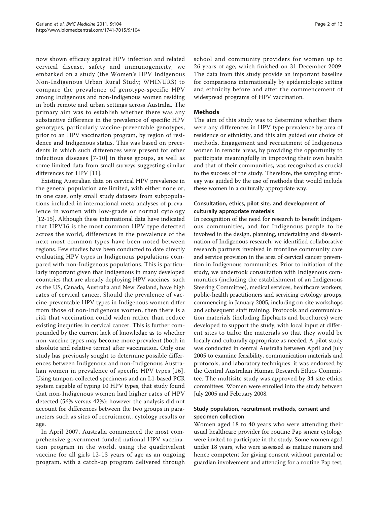now shown efficacy against HPV infection and related cervical disease, safety and immunogenicity, we embarked on a study (the Women's HPV Indigenous Non-Indigenous Urban Rural Study; WHINURS) to compare the prevalence of genotype-specific HPV among Indigenous and non-Indigenous women residing in both remote and urban settings across Australia. The primary aim was to establish whether there was any substantive difference in the prevalence of specific HPV genotypes, particularly vaccine-preventable genotypes, prior to an HPV vaccination program, by region of residence and Indigenous status. This was based on precedents in which such differences were present for other infectious diseases [[7](#page-11-0)-[10\]](#page-12-0) in these groups, as well as some limited data from small surveys suggesting similar differences for HPV [[11](#page-12-0)].

Existing Australian data on cervical HPV prevalence in the general population are limited, with either none or, in one case, only small study datasets from subpopulations included in international meta-analyses of prevalence in women with low-grade or normal cytology [[12-15](#page-12-0)]. Although these international data have indicated that HPV16 is the most common HPV type detected across the world, differences in the prevalence of the next most common types have been noted between regions. Few studies have been conducted to date directly evaluating HPV types in Indigenous populations compared with non-Indigenous populations. This is particularly important given that Indigenous in many developed countries that are already deploying HPV vaccines, such as the US, Canada, Australia and New Zealand, have high rates of cervical cancer. Should the prevalence of vaccine-preventable HPV types in Indigenous women differ from those of non-Indigenous women, then there is a risk that vaccination could widen rather than reduce existing inequities in cervical cancer. This is further compounded by the current lack of knowledge as to whether non-vaccine types may become more prevalent (both in absolute and relative terms) after vaccination. Only one study has previously sought to determine possible differences between Indigenous and non-Indigenous Australian women in prevalence of specific HPV types [[16\]](#page-12-0). Using tampon-collected specimens and an L1-based PCR system capable of typing 10 HPV types, that study found that non-Indigenous women had higher rates of HPV detected (56% versus 42%): however the analysis did not account for differences between the two groups in parameters such as sites of recruitment, cytology results or age.

In April 2007, Australia commenced the most comprehensive government-funded national HPV vaccination program in the world, using the quadrivalent vaccine for all girls 12-13 years of age as an ongoing program, with a catch-up program delivered through school and community providers for women up to 26 years of age, which finished on 31 December 2009. The data from this study provide an important baseline for comparisons internationally by epidemiologic setting and ethnicity before and after the commencement of widespread programs of HPV vaccination.

## Methods

The aim of this study was to determine whether there were any differences in HPV type prevalence by area of residence or ethnicity, and this aim guided our choice of methods. Engagement and recruitment of Indigenous women in remote areas, by providing the opportunity to participate meaningfully in improving their own health and that of their communities, was recognized as crucial to the success of the study. Therefore, the sampling strategy was guided by the use of methods that would include these women in a culturally appropriate way.

## Consultation, ethics, pilot site, and development of culturally appropriate materials

In recognition of the need for research to benefit Indigenous communities, and for Indigenous people to be involved in the design, planning, undertaking and dissemination of Indigenous research, we identified collaborative research partners involved in frontline community care and service provision in the area of cervical cancer prevention in Indigenous communities. Prior to initiation of the study, we undertook consultation with Indigenous communities (including the establishment of an Indigenous Steering Committee), medical services, healthcare workers, public-health practitioners and servicing cytology groups, commencing in January 2005, including on-site workshops and subsequent staff training. Protocols and communication materials (including flipcharts and brochures) were developed to support the study, with local input at different sites to tailor the materials so that they would be locally and culturally appropriate as needed. A pilot study was conducted in central Australia between April and July 2005 to examine feasibility, communication materials and protocols, and laboratory techniques: it was endorsed by the Central Australian Human Research Ethics Committee. The multisite study was approved by 34 site ethics committees. Women were enrolled into the study between July 2005 and February 2008.

## Study population, recruitment methods, consent and specimen collection

Women aged 18 to 40 years who were attending their usual healthcare provider for routine Pap smear cytology were invited to participate in the study. Some women aged under 18 years, who were assessed as mature minors and hence competent for giving consent without parental or guardian involvement and attending for a routine Pap test,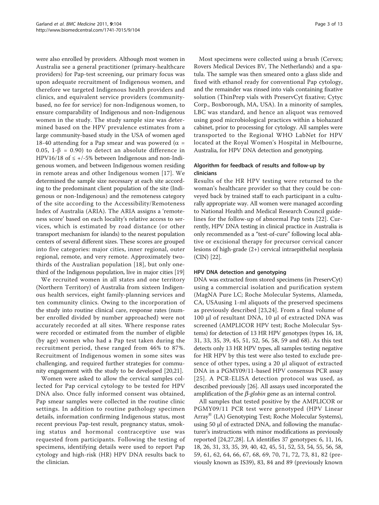were also enrolled by providers. Although most women in Australia see a general practitioner (primary-healthcare providers) for Pap-test screening, our primary focus was upon adequate recruitment of Indigenous women, and therefore we targeted Indigenous health providers and clinics, and equivalent service providers (communitybased, no fee for service) for non-Indigenous women, to ensure comparability of Indigenous and non-Indigenous women in the study. The study sample size was determined based on the HPV prevalence estimates from a large community-based study in the USA of women aged 18-40 attending for a Pap smear and was powered ( $\alpha$  = 0.05, 1- $\beta$  = 0.90) to detect an absolute difference in HPV16/18 of  $\leq$  +/-5% between Indigenous and non-Indigenous women, and between Indigenous women residing in remote areas and other Indigenous women [[17](#page-12-0)]. We determined the sample size necessary at each site according to the predominant client population of the site (Indigenous or non-Indigenous) and the remoteness category of the site according to the Accessibility/Remoteness Index of Australia (ARIA). The ARIA assigns a 'remoteness score' based on each locality's relative access to services, which is estimated by road distance (or other transport mechanism for islands) to the nearest population centers of several different sizes. These scores are grouped into five categories: major cities, inner regional, outer regional, remote, and very remote. Approximately twothirds of the Australian population [\[18\]](#page-12-0), but only onethird of the Indigenous population, live in major cities [\[19](#page-12-0)]

We recruited women in all states and one territory (Northern Territory) of Australia from sixteen Indigenous health services, eight family-planning services and ten community clinics. Owing to the incorporation of the study into routine clinical care, response rates (number enrolled divided by number approached) were not accurately recorded at all sites. Where response rates were recorded or estimated from the number of eligible (by age) women who had a Pap test taken during the recruitment period, these ranged from 46% to 87%. Recruitment of Indigenous women in some sites was challenging, and required further strategies for community engagement with the study to be developed [\[20,21\]](#page-12-0).

Women were asked to allow the cervical samples collected for Pap cervical cytology to be tested for HPV DNA also. Once fully informed consent was obtained, Pap smear samples were collected in the routine clinic settings. In addition to routine pathology specimen details, information confirming Indigenous status, most recent previous Pap-test result, pregnancy status, smoking status and hormonal contraceptive use was requested from participants. Following the testing of specimens, identifying details were used to report Pap cytology and high-risk (HR) HPV DNA results back to the clinician.

Most specimens were collected using a brush (Cervex; Rovers Medical Devices BV, The Netherlands) and a spatula. The sample was then smeared onto a glass slide and fixed with ethanol ready for conventional Pap cytology, and the remainder was rinsed into vials containing fixative solution (ThinPrep vials with PreservCyt fixative; Cytyc Corp., Boxborough, MA, USA). In a minority of samples, LBC was standard, and hence an aliquot was removed using good microbiological practices within a biohazard cabinet, prior to processing for cytology. All samples were transported to the Regional WHO LabNet for HPV located at the Royal Women's Hospital in Melbourne, Australia, for HPV DNA detection and genotyping.

## Algorithm for feedback of results and follow-up by clinicians

Results of the HR HPV testing were returned to the woman's healthcare provider so that they could be conveyed back by trained staff to each participant in a culturally appropriate way. All women were managed according to National Health and Medical Research Council guidelines for the follow-up of abnormal Pap tests [\[22](#page-12-0)]. Currently, HPV DNA testing in clinical practice in Australia is only recommended as a "test-of-cure" following local ablative or excisional therapy for precursor cervical cancer lesions of high-grade (2+) cervical intraepithelial neoplasia (CIN) [[22](#page-12-0)].

## HPV DNA detection and genotyping

DNA was extracted from stored specimens (in PreservCyt) using a commercial isolation and purification system (MagNA Pure LC; Roche Molecular Systems, Alameda, CA, USAusing 1-ml aliquots of the preserved specimens as previously described [[23,24](#page-12-0)]. From a final volume of 100 μl of resultant DNA, 10 μl of extracted DNA was screened (AMPLICOR HPV test; Roche Molecular Systems) for detection of 13 HR HPV genotypes (types 16, 18, 31, 33, 35, 39, 45, 51, 52, 56, 58, 59 and 68). As this test detects only 13 HR HPV types, all samples testing negative for HR HPV by this test were also tested to exclude presence of other types, using a 20 μl aliquot of extracted DNA in a PGMY09/11-based HPV consensus PCR assay [[25\]](#page-12-0). A PCR-ELISA detection protocol was used, as described previously [[26](#page-12-0)]. All assays used incorporated the amplification of the  $\beta$ -globin gene as an internal control.

All samples that tested positive by the AMPLICOR or PGMY09/11 PCR test were genotyped (HPV Linear Array® (LA) Genotyping Test; Roche Molecular Systems), using 50 μl of extracted DNA, and following the manufacturer's instructions with minor modifications as previously reported [[24,27,28\]](#page-12-0). LA identifies 37 genotypes: 6, 11, 16, 18, 26, 31, 33, 35, 39, 40, 42, 45, 51, 52, 53, 54, 55, 56, 58, 59, 61, 62, 64, 66, 67, 68, 69, 70, 71, 72, 73, 81, 82 (previously known as IS39), 83, 84 and 89 (previously known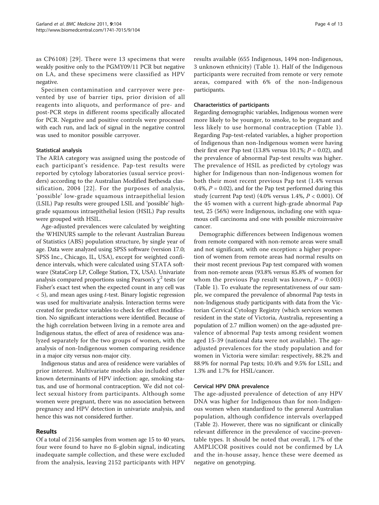as CP6108) [[29\]](#page-12-0). There were 13 specimens that were weakly positive only to the PGMY09/11 PCR but negative on LA, and these specimens were classified as HPV negative.

Specimen contamination and carryover were prevented by use of barrier tips, prior division of all reagents into aliquots, and performance of pre- and post-PCR steps in different rooms specifically allocated for PCR. Negative and positive controls were processed with each run, and lack of signal in the negative control was used to monitor possible carryover.

#### Statistical analysis

The ARIA category was assigned using the postcode of each participant's residence. Pap-test results were reported by cytology laboratories (usual service providers) according to the Australian Modified Bethesda classification, 2004 [[22\]](#page-12-0). For the purposes of analysis, 'possible' low-grade squamous intraepithelial lesion (LSIL) Pap results were grouped LSIL and 'possible' highgrade squamous intraepithelial lesion (HSIL) Pap results were grouped with HSIL.

Age-adjusted prevalences were calculated by weighting the WHINURS sample to the relevant Australian Bureau of Statistics (ABS) population structure, by single year of age. Data were analyzed using SPSS software (version 17.0; SPSS Inc., Chicago, IL, USA), except for weighted confidence intervals, which were calculated using STATA software (StataCorp LP, College Station, TX, USA). Univariate analysis compared proportions using Pearson's  $\chi^2$  tests (or Fisher's exact test when the expected count in any cell was  $<$  5), and mean ages using *t*-test. Binary logistic regression was used for multivariate analysis. Interaction terms were created for predictor variables to check for effect modification. No significant interactions were identified. Because of the high correlation between living in a remote area and Indigenous status, the effect of area of residence was analyzed separately for the two groups of women, with the analysis of non-Indigenous women comparing residence in a major city versus non-major city.

Indigenous status and area of residence were variables of prior interest. Multivariate models also included other known determinants of HPV infection: age, smoking status, and use of hormonal contraception. We did not collect sexual history from participants. Although some women were pregnant, there was no association between pregnancy and HPV detection in univariate analysis, and hence this was not considered further.

## Results

Of a total of 2156 samples from women age 15 to 40 years, four were found to have no ß-globin signal, indicating inadequate sample collection, and these were excluded from the analysis, leaving 2152 participants with HPV results available (655 Indigenous, 1494 non-Indigenous, 3 unknown ethnicity) (Table [1](#page-5-0)). Half of the Indigenous participants were recruited from remote or very remote areas, compared with 6% of the non-Indigenous participants.

## Characteristics of participants

Regarding demographic variables, Indigenous women were more likely to be younger, to smoke, to be pregnant and less likely to use hormonal contraception (Table [1\)](#page-5-0). Regarding Pap-test-related variables, a higher proportion of Indigenous than non-Indigenous women were having their first ever Pap test (13.8% versus 10.1%;  $P = 0.02$ ), and the prevalence of abnormal Pap-test results was higher. The prevalence of HSIL as predicted by cytology was higher for Indigenous than non-Indigenous women for both their most recent previous Pap test (1.4% versus 0.4%,  $P = 0.02$ ), and for the Pap test performed during this study (current Pap test) (4.0% versus  $1.4\%$ ,  $P < 0.001$ ). Of the 45 women with a current high-grade abnormal Pap test, 25 (56%) were Indigenous, including one with squamous cell carcinoma and one with possible microinvasive cancer.

Demographic differences between Indigenous women from remote compared with non-remote areas were small and not significant, with one exception: a higher proportion of women from remote areas had normal results on their most recent previous Pap test compared with women from non-remote areas (93.8% versus 85.8% of women for whom the previous Pap result was known,  $P = 0.003$ ) (Table [1\)](#page-5-0). To evaluate the representativeness of our sample, we compared the prevalence of abnormal Pap tests in non-Indigenous study participants with data from the Victorian Cervical Cytology Registry (which services women resident in the state of Victoria, Australia, representing a population of 2.7 million women) on the age-adjusted prevalence of abnormal Pap tests among resident women aged 15-39 (national data were not available). The ageadjusted prevalences for the study population and for women in Victoria were similar: respectively, 88.2% and 88.9% for normal Pap tests; 10.4% and 9.5% for LSIL; and 1.3% and 1.7% for HSIL/cancer.

## Cervical HPV DNA prevalence

The age-adjusted prevalence of detection of any HPV DNA was higher for Indigenous than for non-Indigenous women when standardized to the general Australian population, although confidence intervals overlapped (Table [2](#page-6-0)). However, there was no significant or clinically relevant difference in the prevalence of vaccine-preventable types. It should be noted that overall, 1.7% of the AMPLICOR positives could not be confirmed by LA and the in-house assay, hence these were deemed as negative on genotyping.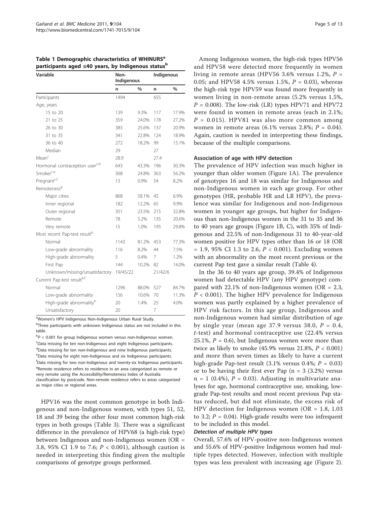<span id="page-5-0"></span>Table 1 Demographic characteristics of WHINURS<sup>a</sup> participants aged ≤40 years, by Indigenous status<sup>b</sup>

| Variable                                 | Non-<br>Indigenous |               | Indigenous |               |
|------------------------------------------|--------------------|---------------|------------|---------------|
|                                          | n                  | $\frac{0}{0}$ | n          | $\frac{0}{0}$ |
| Participants                             | 1494               |               | 655        |               |
| Age, years                               |                    |               |            |               |
| 15 to 20                                 | 139                | 9.3%          | 117        | 17.9%         |
| 21 to 25                                 | 359                | 24.0%         | 178        | 27.2%         |
| 26 to 30                                 | 383                | 25.6%         | 137        | 20.9%         |
| 31 to 35                                 | 341                | 22.8%         | 124        | 18.9%         |
| 36 to 40                                 | 272                | 18.2%         | 99         | 15.1%         |
| Median                                   | 29                 |               | 27         |               |
| Mean <sup>c</sup>                        | 28.9               |               | 27.4       |               |
| Hormonal contraception userc,d           | 643                | 43.3%         | 196        | 30.3%         |
| Smoker <sup>c,e</sup>                    | 368                | 24.8%         | 363        | 56.2%         |
| Pregnant <sup>c,t</sup>                  | 13                 | 0.9%          | 54         | 8.2%          |
| Remoteness <sup>g</sup>                  |                    |               |            |               |
| Major cities                             | 868                | 58.1%         | 45         | 6.9%          |
| Inner regional                           | 182                | 12.2%         | 65         | 9.9%          |
| Outer regional                           | 351                | 23.5%         | 215        | 32.8%         |
| Remote                                   | 78                 | 5.2%          | 135        | 20.6%         |
| Very remote                              | 15                 | 1.0%          | 195        | 29.8%         |
| Most recent Pap-test result <sup>b</sup> |                    |               |            |               |
| Normal                                   | 1143               | 81.2%         | 453        | 77.3%         |
| Low-grade abnormality                    | 116                | 8.2%          | 44         | 7.5%          |
| High-grade abnormality                   | 5                  | 0.4%          | 7          | 1.2%          |
| First Pap                                | 144                | 10.2%         | 82         | 14.0%         |
| Unknown/missing/unsatisfactory           | 19/45/22           |               | 21/42/6    |               |
| Current Pap-test result <sup>b,t</sup>   |                    |               |            |               |
| Normal                                   | 1296               | 88.0%         | 527        | 84.7%         |
| Low-grade abnormality                    | 156                | 10.6%         | 70         | 11.3%         |
| High-grade abnormality <sup>b</sup>      | 20                 | 1.4%          | 25         | 4.0%          |
| Unsatisfactory                           | 20                 |               | 7          |               |

a<br>Women's HPV Indigenous Non-Indigenous Urban Rural Study.

<sup>b</sup>Three participants with unknown Indigenous status are not included in this table.

 $\overline{P}P < 0.001$  for group Indigenous women versus non-Indigenous women. <sup>c</sup>Data missing for ten non-Indigenous and eight Indigenous participants. dData missing for ten non-Indigenous and nine Indigenous participants. e Data missing for eight non-Indigenous and six Indigenous participants. f Data missing for two non-Indigenous and twenty-six Indigenous participants. <sup>g</sup>Remote residence refers to residence in an area categorized as remote or very remote using the Accessibility/Remoteness Index of Australia classification by postcode. Non-remote residence refers to areas categorized as major cities or regional areas.

HPV16 was the most common genotype in both Indigenous and non-Indigenous women, with types 51, 52, 18 and 39 being the other four most common high-risk types in both groups (Table [3](#page-7-0)). There was a significant difference in the prevalence of HPV68 (a high-risk type) between Indigenous and non-Indigenous women (OR = 3.8, 95% CI 1.9 to 7.6;  $P < 0.001$ ), although caution is needed in interpreting this finding given the multiple comparisons of genotype groups performed.

Among Indigenous women, the high-risk types HPV56 and HPV58 were detected more frequently in women living in remote areas (HPV56 3.6% versus 1.2%,  $P =$ 0.05; and HPV58 4.5% versus 1.5%,  $P = 0.03$ ), whereas the high-risk type HPV59 was found more frequently in women living in non-remote areas (5.2% versus 1.5%,  $P = 0.008$ ). The low-risk (LR) types HPV71 and HPV72 were found in women in remote areas (each in 2.1%;  $P = 0.015$ ). HPV81 was also more common among women in remote areas  $(6.1\%$  versus 2.8%;  $P = 0.04$ ). Again, caution is needed in interpreting these findings, because of the multiple comparisons.

#### Association of age with HPV detection

The prevalence of HPV infection was much higher in younger than older women (Figure [1A](#page-8-0)). The prevalence of genotypes 16 and 18 was similar for Indigenous and non-Indigenous women in each age group. For other genotypes (HR, probable HR and LR HPV), the prevalence was similar for Indigenous and non-Indigenous women in younger age groups, but higher for Indigenous than non-Indigenous women in the 31 to 35 and 36 to 40 years age groups (Figure [1B, C](#page-8-0)), with 35% of Indigenous and 22.5% of non-Indigenous 31 to 40-year-old women positive for HPV types other than 16 or 18 (OR  $= 1.9, 95\% \text{ CI } 1.3 \text{ to } 2.6, P < 0.001$ ). Excluding women with an abnormality on the most recent previous or the current Pap test gave a similar result (Table [4\)](#page-8-0).

In the 36 to 40 years age group, 39.4% of Indigenous women had detectable HPV (any HPV genotype) compared with 22.1% of non-Indigenous women ( $OR = 2.3$ ,  $P < 0.001$ ). The higher HPV prevalence for Indigenous women was partly explained by a higher prevalence of HPV risk factors. In this age group, Indigenous and non-Indigenous women had similar distribution of age by single year (mean age 37.9 versus 38.0,  $P = 0.4$ , t-test) and hormonal contraceptive use (22.4% versus 25.1%,  $P = 0.6$ ), but Indigenous women were more than twice as likely to smoke  $(45.9\% \text{ versus } 21.8\%, P < 0.001)$ and more than seven times as likely to have a current high-grade Pap-test result  $(3.1\% \text{ versus } 0.4\%; P = 0.03)$ or to be having their first ever Pap  $(n = 3 (3.2%)$  versus  $n = 1$  (0.4%),  $P = 0.03$ ). Adjusting in multivariate analyses for age, hormonal contraceptive use, smoking, lowgrade Pap-test results and most recent previous Pap status reduced, but did not eliminate, the excess risk of HPV detection for Indigenous women ( $OR = 1.8$ , 1.03 to 3.2;  $P = 0.04$ ). High-grade results were too infrequent to be included in this model.

## Detection of multiple HPV types

Overall, 57.6% of HPV-positive non-Indigenous women and 55.6% of HPV-positive Indigenous women had multiple types detected. However, infection with multiple types was less prevalent with increasing age (Figure [2](#page-9-0)).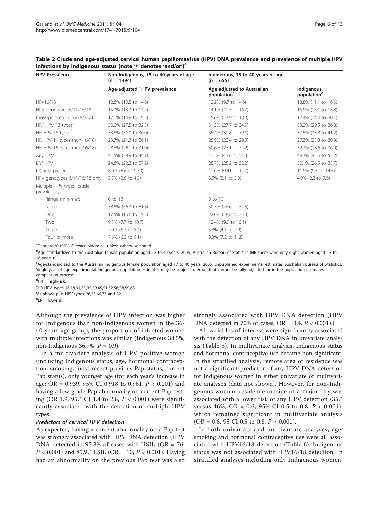| <b>HPV Prevalence</b>                     | Non-Indigenous, 15 to 40 years of age<br>$(n = 1494)$ | Indigenous, 15 to 40 years of age<br>$(n = 655)$      |                                       |
|-------------------------------------------|-------------------------------------------------------|-------------------------------------------------------|---------------------------------------|
|                                           | Age-adjusted <sup>b</sup> HPV prevalence              | Age adjusted to Australian<br>population <sup>a</sup> | Indigenous<br>population <sup>c</sup> |
| HPV16/18                                  | 12.8% (10.8 to 14.8)                                  | 12.2% (9.7 to 14.6)                                   | 13.8% (11.1 to 16.6)                  |
| HPV genotypes 6/11/16/18                  | 15.3% (13.3 to 17.4)                                  | 14.1% (11.5 to 16.7)                                  | 15.9% (13.1 to 18.8)                  |
| Cross-protection 16/18/31/45              | 17.1% (14.9 to 19.3)                                  | 15.6% (12.9 to 18.3)                                  | 17.4% (14.4 to 20.4)                  |
| HR <sup>d</sup> HPV 13 types <sup>e</sup> | 30.0% (27.5 to 32.3)                                  | 31.3% (27.7 to 34.9)                                  | 33.2% (29.5 to 36.8)                  |
| HR HPV 18 types <sup>t</sup>              | 33.5% (31.0 to 36.0)                                  | 35.4% (31.8 to 39.1)                                  | 37.5% (33.8 to 41.2)                  |
| HR HPV-11 types (non-16/18)               | 23.7% (21.3 to 26.1)                                  | 25.9% (22.4 to 29.3)                                  | 27.3% (23.8 to 30.9)                  |
| HR HPV-16 types (non-16/18)               | 28.6% (26.1 to 31.0)                                  | 30.6% (27.1 to 34.2)                                  | 32.3% (28.6 to 36.0)                  |
| Any HPV                                   | 41.5% (38.9 to 44.1)                                  | 47.5% (43.6 to 51.3)                                  | 49.3% (45.5 to 53.2)                  |
| $LR9$ HPV                                 | 24.8% (22.3 to 27.2)                                  | 28.7% (25.2 to 32.2)                                  | 30.1% (26.5 to 33.7)                  |
| LR only present                           | 8.0% (6.6 to 9.39)                                    | 12.0% (9.41 to 14.7)                                  | 11.9% (9.3 to 14.5)                   |
| HPV genotypes 6/11/16/18 only             | $3.5\%$ (2.6 to 4.5)                                  | $3.5\%$ (2.1 to 5.0)                                  | 4.0% $(2.3 \text{ to } 5.6)$          |
| Multiple HPV types (crude<br>prevalence)  |                                                       |                                                       |                                       |
| Range (min-max)                           | 0 to 13                                               | 0 to 10                                               |                                       |
| None                                      | 58.8% (56.3 to 61.3)                                  | 50.5% (46.6 to 54.5)                                  |                                       |
| One                                       | 17.5% (15.6 to 19.5)                                  | 22.0% (18.8 to 25.3)                                  |                                       |
| Two                                       | 9.1% (7.7 to 10.7)                                    | 12.4% (9.9 to 15.1)                                   |                                       |
| Three                                     | 7.0% (5.7 to 8.4)                                     | 5.8% (4.1 to 7.9)                                     |                                       |
| Four or more                              | 7.6% (6.3 to 9.1)                                     | 9.3% (7.2 to 11.8)                                    |                                       |

<span id="page-6-0"></span>Table 2 Crude and age-adjusted cervical human papillomavirus (HPV) DNA prevalence and prevalence of multiple HPV infections by Indigenous status (note '/' denotes 'and/or')<sup>a</sup>

<sup>a</sup>Data are % (95% CI exact binomial), unless otherwise stated.

b<br>Age-standardized to the Australian female population aged 17 to 40 years, 2005, Australian Bureau of Statistics (NB there were only eight women aged 15 to 16 years.)

c Age-standardized to the Australian Indigenous female population aged 17 to 40 years, 2005, unpublished experimental estimates, Australian Bureau of Statistics. Single year of age experimental Indigenous population estimates may be subject to errors that cannot be fully adjusted for in the population estimates compilation process.

<sup>d</sup>HR = high-risk.

e HR HPV types 16,18,31,33,35,39,45,51,52,56,58,59,68.

f As above plus HPV types 26,53,66,73 and 82.

 ${}^{9}$ LR = low-risk.

Although the prevalence of HPV infection was higher for Indigenous than non-Indigenous women in the 36- 40 years age group, the proportion of infected women with multiple infections was similar (Indigenous 38.5%, non-Indigenous 36.7%,  $P = 0.9$ ).

In a multivariate analysis of HPV-positive women (including Indigenous status, age, hormonal contraception, smoking, most recent previous Pap status, current Pap status), only younger age (for each year's increase in age: OR = 0.939, 95% CI 0.918 to 0.961,  $P < 0.001$ ) and having a low-grade Pap abnormality on current Pap testing (OR 1.9, 95% CI 1.4 to 2.8,  $P < 0.001$ ) were significantly associated with the detection of multiple HPV types.

#### Predictors of cervical HPV detection

As expected, having a current abnormality on a Pap test was strongly associated with HPV DNA detection (HPV DNA detected in 97.8% of cases with HSIL (OR = 76,  $P < 0.001$ ) and 85.9% LSIL (OR = 10,  $P < 0.001$ ). Having had an abnormality on the previous Pap test was also strongly associated with HPV DNA detection (HPV DNA detected in 70% of cases; OR =  $3.4$ ,  $P < 0.001$ ).)

All variables of interest were significantly associated with the detection of any HPV DNA in univariate analysis (Table [5](#page-9-0)). In multivariate analysis, Indigenous status and hormonal contraceptive use became non-significant. In the stratified analysis, remote area of residence was not a significant predictor of any HPV DNA detection for Indigenous women in either univariate or multivariate analyses (data not shown). However, for non-Indigenous women, residence outside of a major city was associated with a lower risk of any HPV detection (35% versus 46%; OR = 0.6, 95% CI 0.5 to 0.8,  $P < 0.001$ ), which remained significant in multivariate analysis  $(OR = 0.6, 95 \text{ CI } 0.5 \text{ to } 0.8, P < 0.001).$ 

In both univariate and multivariate analyses, age, smoking and hormonal contraceptive use were all associated with HPV16/18 detection (Table [6\)](#page-10-0). Indigenous status was not associated with HPV16/18 detection. In stratified analyses including only Indigenous women,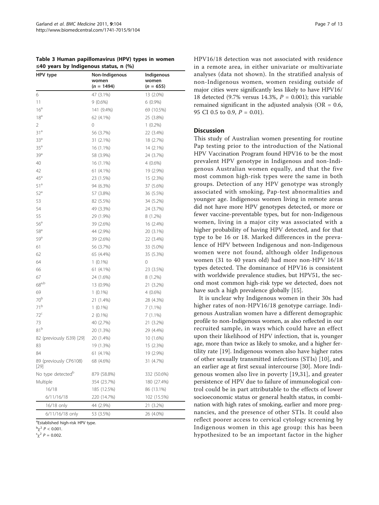<span id="page-7-0"></span>

| Table 3 Human papillomavirus (HPV) types in women |  |
|---------------------------------------------------|--|
| $\leq$ 40 years by Indigenous status, n (%)       |  |

| HPV type                       | Non-Indigenous<br>women | Indigenous<br>women |  |
|--------------------------------|-------------------------|---------------------|--|
|                                | $(n = 1494)$            | $(n = 655)$         |  |
| 6                              | 47 (3.1%)               | 13 (2.0%)           |  |
| 11                             | $9(0.6\%)$              | $6(0.9\%)$          |  |
| 16 <sup>a</sup>                | 141 (9.4%)              | 69 (10.5%)          |  |
| 18 <sup>a</sup>                | 62 (4.1%)               | 25 (3.8%)           |  |
| 2                              | 0                       | $1(0.2\%)$          |  |
| 31 <sup>a</sup>                | 56 (3.7%)               | 22 (3.4%)           |  |
| 33 <sup>a</sup>                | 31 (2.1%)               | 18 (2.7%)           |  |
| 35 <sup>a</sup>                | 16 (1.1%)               | 14 (2.1%)           |  |
| 39 <sup>a</sup>                | 58 (3.9%)               | 24 (3.7%)           |  |
| 40                             | 16 (1.1%)               | $4(0.6\%)$          |  |
| 42                             | 61 (4.1%)               | 19 (2.9%)           |  |
| 45 <sup>a</sup>                | 23 (1.5%)               | 15 (2.3%)           |  |
| 51 <sup>a</sup>                | 94 (6.3%)               | 37 (5.6%)           |  |
| $52^a$                         | 57 (3.8%)               | 36 (5.5%)           |  |
| 53                             | 82 (5.5%)               | 34 (5.2%)           |  |
| 54                             | 49 (3.3%)               | 24 (3.7%)           |  |
| 55                             | 29 (1.9%)               | 8 (1.2%)            |  |
| 56 <sup>a</sup>                | 39 (2.6%)               | 16 (2.4%)           |  |
| $58^{\circ}$                   | 44 (2.9%)               | 20 (3.1%)           |  |
| 59 <sup>a</sup>                | 39 (2.6%)               | 22 (3.4%)           |  |
| 61                             | 56 (3.7%)               | 33 (5.0%)           |  |
| 62                             | 65 (4.4%)               | 35 (5.3%)           |  |
| 64                             | $1(0.1\%)$              | 0                   |  |
| 66                             | 61 (4.1%)               | 23 (3.5%)           |  |
| 67                             | 24 (1.6%)               | 8 (1.2%)            |  |
| $68a,b}$                       | 13 (0.9%)               | 21 (3.2%)           |  |
| 69                             | $1(0.1\%)$              | $4(0.6\%)$          |  |
| 70 <sup>b</sup>                | 21 (1.4%)               | 28 (4.3%)           |  |
| $71^{\rm b}$                   | $1(0.1\%)$              | $7(1.1\%)$          |  |
| 72 <sup>c</sup>                | $2(0.1\%)$              | $7(1.1\%)$          |  |
| 73                             | 40 (2.7%)               | 21 (3.2%)           |  |
| 81 <sup>b</sup>                | 20 (1.3%)               | 29 (4.4%)           |  |
| 82 (previously IS39) [29]      | 20 (1.4%)               | 10 (1.6%)           |  |
| 83                             | 19 (1.3%)               | 15 (2.3%)           |  |
| 84                             | 61 (4.1%)               | 19 (2.9%)           |  |
| 89 (previously CP6108)<br>[29] | 68 (4.6%)               | 31 (4.7%)           |  |
| No type detected <sup>b</sup>  | 879 (58.8%)             | 332 (50.6%)         |  |
| Multiple                       | 354 (23.7%)             | 180 (27.4%)         |  |
| 16/18                          | 185 (12.5%)             | 86 (13.1%)          |  |
| 6/11/16/18                     | 220 (14.7%)             | 102 (15.5%)         |  |
| 16/18 only                     | 44 (2.9%)               | 21 (3.2%)           |  |
| 6/11/16/18 only                | 53 (3.5%)               | 26 (4.0%)           |  |

<sup>a</sup>Established high-risk HPV type.

 $^{b} \chi^{2}$  P < 0.001.

 $c^2$   $P = 0.002$ .

HPV16/18 detection was not associated with residence in a remote area, in either univariate or multivariate analyses (data not shown). In the stratified analysis of non-Indigenous women, women residing outside of major cities were significantly less likely to have HPV16/ 18 detected (9.7% versus 14.3%,  $P = 0.001$ ); this variable remained significant in the adjusted analysis ( $OR = 0.6$ , 95 CI 0.5 to 0.9,  $P = 0.01$ ).

## Discussion

This study of Australian women presenting for routine Pap testing prior to the introduction of the National HPV Vaccination Program found HPV16 to be the most prevalent HPV genotype in Indigenous and non-Indigenous Australian women equally, and that the five most common high-risk types were the same in both groups. Detection of any HPV genotype was strongly associated with smoking, Pap-test abnormalities and younger age. Indigenous women living in remote areas did not have more HPV genotypes detected, or more or fewer vaccine-preventable types, but for non-Indigenous women, living in a major city was associated with a higher probability of having HPV detected, and for that type to be 16 or 18. Marked differences in the prevalence of HPV between Indigenous and non-Indigenous women were not found, although older Indigenous women (31 to 40 years old) had more non-HPV 16/18 types detected. The dominance of HPV16 is consistent with worldwide prevalence studies, but HPV51, the second most common high-risk type we detected, does not have such a high prevalence globally [\[15\]](#page-12-0).

It is unclear why Indigenous women in their 30s had higher rates of non-HPV16/18 genotype carriage. Indigenous Australian women have a different demographic profile to non-Indigenous women, as also reflected in our recruited sample, in ways which could have an effect upon their likelihood of HPV infection, that is, younger age, more than twice as likely to smoke, and a higher fertility rate [[19\]](#page-12-0). Indigenous women also have higher rates of other sexually transmitted infections (STIs) [[10\]](#page-12-0), and an earlier age at first sexual intercourse [[30](#page-12-0)]. More Indigenous women also live in poverty [[19,31\]](#page-12-0), and greater persistence of HPV due to failure of immunological control could be in part attributable to the effects of lower socioeconomic status or general health status, in combination with high rates of smoking, earlier and more pregnancies, and the presence of other STIs. It could also reflect poorer access to cervical cytology screening by Indigenous women in this age group: this has been hypothesized to be an important factor in the higher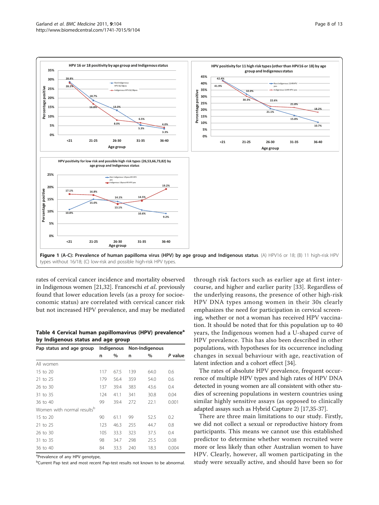<span id="page-8-0"></span>

rates of cervical cancer incidence and mortality observed in Indigenous women [[21,32](#page-12-0)]. Franceschi et al. previously found that lower education levels (as a proxy for socioeconomic status) are correlated with cervical cancer risk but not increased HPV prevalence, and may be mediated

Table 4 Cervical human papillomavirus (HPV) prevalence<sup>a</sup> by Indigenous status and age group

| Pap status and age group               |     | Indigenous | Non-Indigenous |      |         |
|----------------------------------------|-----|------------|----------------|------|---------|
|                                        | n   | %          | n              | %    | P value |
| All women                              |     |            |                |      |         |
| 15 to 20                               | 117 | 67.5       | 139            | 64.0 | 0.6     |
| 21 to 25                               | 179 | 56.4       | 359            | 54.0 | 0.6     |
| 26 to 30                               | 137 | 39.4       | 383            | 43.6 | 0.4     |
| 31 to 35                               | 124 | 41.1       | 341            | 30.8 | 0.04    |
| 36 to 40                               | 99  | 39.4       | 272            | 22.1 | 0.001   |
| Women with normal results <sup>b</sup> |     |            |                |      |         |
| $15$ to $20$                           | 90  | 61.1       | 99             | 52.5 | 0.2     |
| 21 to 25                               | 123 | 46.3       | 255            | 44.7 | 0.8     |
| 26 to 30                               | 105 | 33.3       | 323            | 37.5 | 0.4     |
| 31 to 35                               | 98  | 34.7       | 298            | 25.5 | 0.08    |
| 36 to 40                               | 84  | 33.3       | 240            | 18.3 | 0.004   |

<sup>a</sup>Prevalence of any HPV genotype,

**<sup>b</sup>Current Pap test and most recent Pap-test results not known to be abnormal.** 

through risk factors such as earlier age at first intercourse, and higher and earlier parity [\[33\]](#page-12-0). Regardless of the underlying reasons, the presence of other high-risk HPV DNA types among women in their 30s clearly emphasizes the need for participation in cervical screening, whether or not a woman has received HPV vaccination. It should be noted that for this population up to 40 years, the Indigenous women had a U-shaped curve of HPV prevalence. This has also been described in other populations, with hypotheses for its occurrence including changes in sexual behaviour with age, reactivation of latent infection and a cohort effect [[34\]](#page-12-0).

The rates of absolute HPV prevalence, frequent occurrence of multiple HPV types and high rates of HPV DNA detected in young women are all consistent with other studies of screening populations in western countries using similar highly sensitive assays (as opposed to clinically adapted assays such as Hybrid Capture 2) [[17,35-37\]](#page-12-0).

There are three main limitations to our study. Firstly, we did not collect a sexual or reproductive history from participants. This means we cannot use this established predictor to determine whether women recruited were more or less likely than other Australian women to have HPV. Clearly, however, all women participating in the study were sexually active, and should have been so for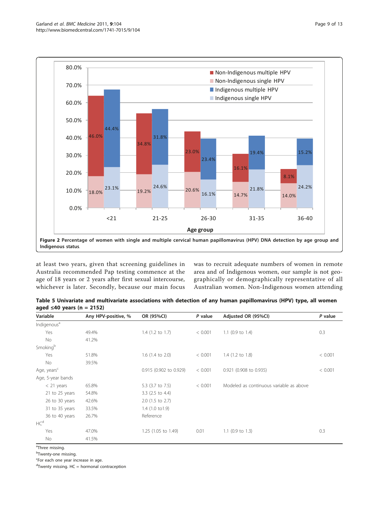<span id="page-9-0"></span>

at least two years, given that screening guidelines in Australia recommended Pap testing commence at the age of 18 years or 2 years after first sexual intercourse, whichever is later. Secondly, because our main focus was to recruit adequate numbers of women in remote area and of Indigenous women, our sample is not geographically or demographically representative of all Australian women. Non-Indigenous women attending

Table 5 Univariate and multivariate associations with detection of any human papillomavirus (HPV) type, all women aged  $\leq 40$  years (n = 2152)

| Variable                | Any HPV-positive, % | OR (95%CI)             | P value | Adjusted OR (95%CI)                     | P value |
|-------------------------|---------------------|------------------------|---------|-----------------------------------------|---------|
| Indigenous <sup>a</sup> |                     |                        |         |                                         |         |
| Yes                     | 49.4%               | $1.4$ (1.2 to 1.7)     | < 0.001 | 1.1 (0.9 to 1.4)                        | 0.3     |
| No.                     | 41.2%               |                        |         |                                         |         |
| Smokingb                |                     |                        |         |                                         |         |
| Yes                     | 51.8%               | $1.6$ (1.4 to 2.0)     | < 0.001 | $1.4$ (1.2 to 1.8)                      | < 0.001 |
| No.                     | 39.5%               |                        |         |                                         |         |
| Age, years <sup>c</sup> |                     | 0.915 (0.902 to 0.929) | < 0.001 | 0.921 (0.908 to 0.935)                  | < 0.001 |
| Age, 5-year bands       |                     |                        |         |                                         |         |
| $<$ 21 years            | 65.8%               | 5.3 (3.7 to 7.5)       | < 0.001 | Modeled as continuous variable as above |         |
| 21 to 25 years          | 54.8%               | $3.3$ (2.5 to 4.4)     |         |                                         |         |
| 26 to 30 years          | 42.6%               | 2.0 (1.5 to 2.7)       |         |                                         |         |
| 31 to 35 years          | 33.5%               | $1.4$ (1.0 to 1.9)     |         |                                         |         |
| 36 to 40 years          | 26.7%               | Reference              |         |                                         |         |
| HC <sup>d</sup>         |                     |                        |         |                                         |         |
| Yes                     | 47.0%               | 1.25 (1.05 to 1.49)    | 0.01    | 1.1 $(0.9 \text{ to } 1.3)$             | 0.3     |
| No                      | 41.5%               |                        |         |                                         |         |

<sup>a</sup>Three missing.

<sup>b</sup>Twenty-one missing.

<sup>c</sup>For each one year increase in age.

<sup>d</sup>Twenty missing. HC = hormonal contraception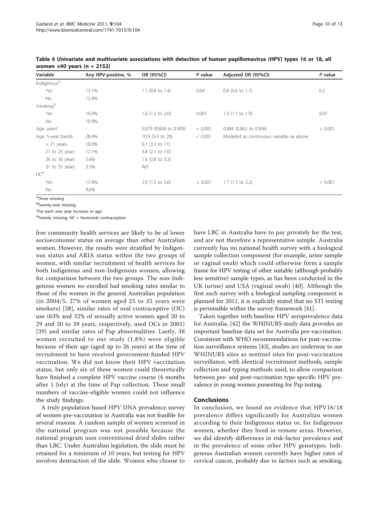| Variable                | Any HPV-positive, %      | OR (95%CI)                  | P value | Adjusted OR (95%CI)                     | P value |
|-------------------------|--------------------------|-----------------------------|---------|-----------------------------------------|---------|
| Indigenous <sup>a</sup> |                          |                             |         |                                         |         |
| Yes                     | 13.1%                    | 1.1 $(0.8 \text{ to } 1.4)$ | 0.64    | $0.8$ (0.6 to 1.1)                      | 0.2     |
| <b>No</b>               | 12.4%                    |                             |         |                                         |         |
| Smokingb                |                          |                             |         |                                         |         |
| Yes                     | 16.0%                    | $1.6$ (1.2 to 2.0)          | 0.001   | $1.4$ (1.1 to 1.9)                      | 0.01    |
| No                      | 10.9%                    |                             |         |                                         |         |
| Age, years <sup>c</sup> | $\overline{\phantom{a}}$ | 0.879 (0.858 to 0.900)      | < 0.001 | 0.884 (0.862 to 0.906)                  | < 0.001 |
| Age, 5-year bands       | 28.4%                    | 10.9 (5.9 to 20)            | < 0.001 | Modeled as continuous variable as above |         |
| $<$ 21 years            | 18.0%                    | $6.1$ (3.3 to 11)           |         |                                         |         |
| 21 to 25 years          | 12.1%                    | $3.8$ (2.1 to 7.0)          |         |                                         |         |
| 26 to 30 years          | 5.6%                     | $1.6$ (0.8 to 3.2)          |         |                                         |         |
| 31 to 35 years          | 3.5%                     | Ref                         |         |                                         |         |
| HC <sup>d</sup>         |                          |                             |         |                                         |         |
| Yes                     | 17.4%                    | $2.0$ (1.5 to 2.6)          | < 0.001 | $1.7$ (1.3 to 2.2)                      | < 0.001 |
| No                      | 9.6%                     |                             |         |                                         |         |

<span id="page-10-0"></span>Table 6 Univariate and multivariate associations with detection of human papillomavirus (HPV) types 16 or 18, all women ≤40 years (n = 2152)

<sup>a</sup>Three missing.

<sup>b</sup>Twenty-one missing.

<sup>c</sup>For each one year increase in age.

<sup>d</sup>Twenty missing. HC = hormonal contraception

free community health services are likely to be of lower socioeconomic status on average than other Australian women. However, the results were stratified by Indigenous status and ARIA status within the two groups of women, with similar recruitment of health services for both Indigenous and non-Indigenous women, allowing for comparison between the two groups. The non-Indigenous women we enrolled had smoking rates similar to those of the women in the general Australian population (in 2004/5, 27% of women aged 25 to 35 years were smokers) [[38](#page-12-0)], similar rates of oral contraceptive (OC) use (63% and 32% of sexually active women aged 20 to 29 and 30 to 39 years, respectively, used OCs in 2001) [[39](#page-12-0)] and similar rates of Pap abnormalities. Lastly, 38 women recruited to our study (1.8%) were eligible because of their age (aged up to 26 years) at the time of recruitment to have received government-funded HPV vaccination. We did not know their HPV vaccination status, but only six of these women could theoretically have finished a complete HPV vaccine course (4 months after 1 July) at the time of Pap collection. These small numbers of vaccine-eligible women could not influence the study findings.

A truly population-based HPV DNA prevalence survey of women pre-vaccination in Australia was not feasible for several reasons. A random sample of women screened in the national program was not possible because the national program uses conventional dried slides rather than LBC. Under Australian legislation, the slide must be retained for a minimum of 10 years, but testing for HPV involves destruction of the slide. Women who choose to have LBC in Australia have to pay privately for the test, and are not therefore a representative sample. Australia currently has no national health survey with a biological sample collection component (for example, urine sample or vaginal swab) which could otherwise form a sample frame for HPV testing of other suitable (although probably less sensitive) sample types, as has been conducted in the UK (urine) and USA (vaginal swab) [[40](#page-12-0)]. Although the first such survey with a biological sampling component is planned for 2011, it is explicitly stated that no STI testing is permissible within the survey framework [\[41\]](#page-12-0).

Taken together with baseline HPV seroprevalence data for Australia, [[42\]](#page-12-0) the WHINURS study data provides an important baseline data set for Australia pre-vaccination. Consistent with WHO recommendations for post-vaccination surveillance systems [[43\]](#page-12-0), studies are underway to use WHINURS sites as sentinel sites for post-vaccination surveillance, with identical recruitment methods, sample collection and typing methods used, to allow comparison between pre- and post-vaccination type-specific HPV prevalence in young women presenting for Pap testing.

## Conclusions

In conclusion, we found no evidence that HPV16/18 prevalence differs significantly for Australian women according to their Indigenous status or, for Indigenous women, whether they lived in remote areas. However, we did identify differences in risk-factor prevalence and in the prevalence of some other HPV genotypes. Indigenous Australian women currently have higher rates of cervical cancer, probably due to factors such as smoking,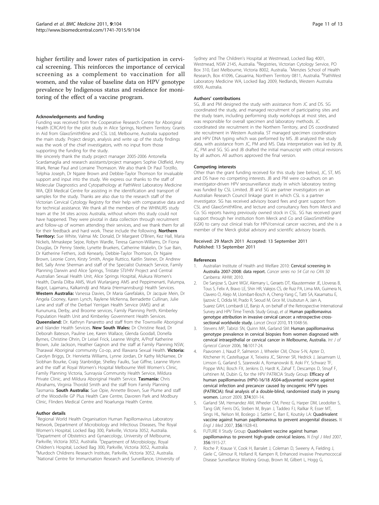<span id="page-11-0"></span>higher fertility and lower rates of participation in cervical screening. This reinforces the importance of cervical screening as a complement to vaccination for all women, and the value of baseline data on HPV genotype prevalence by Indigenous status and residence for monitoring of the effect of a vaccine program.

#### Acknowledgements and funding

Funding was received from the Cooperative Research Centre for Aboriginal Health (CRCAH) for the pilot study in Alice Springs, Northern Territory. Grants in Aid from GlaxoSmithKline and CSL Ltd, Melbourne, Australia supported the main study. Project design, analysis and write up of the study findings was the work of the chief investigators, with no input from those supporting the funding for the study.

We sincerely thank the study project manager 2005-2006 Antonella Scardamaglia and research assistants/project managers Sophie Oldfield, Amy Wark, Renae Paul and Lorraine Thomason. We also thank Dr Paul Torzillo, Telphia Joseph, Dr Ngaire Brown and Debbie-Taylor Thomson for invaluable support and input into the study. We express our thanks to the staff of Molecular Diagnostics and Cytopathology at PathWest Laboratory Medicine WA, QEII Medical Centre for assisting in the identification and transport of samples for the study. Thanks are also due to the research staff of the Victorian Cervical Cytology Registry for their help with comparative data and for technical assistance. We thank all the members of the WHINURS study team at the 34 sites across Australia, without whom this study could not have happened. They were pivotal in data collection through recruitment and follow-up of women attending their services, and we thank them for all for their feedback and hard work. These include the following. Northern Territory: Sue White, Valmai Mc Donald, Dr Margaret O'Brien, Kez Hall, Maria Nickels, Mmaskepe Sejoe, Robyn Wardle, Teresa Garnon-Williams, Dr Fiona Douglas, Dr Penny Steele, Lynette Bruekers, Catherine Wakelin, Dr Sue Bain, Dr Katherine Fethers, Jodi Kenearly, Debbie-Taylor Thomson, Dr Ngaire Brown, Leonie Conn, Kirsty Smith, Angie Ruttico, Kaitlin Steiner, Dr Andrew Bell, Sally Anne Sherman and staff of the Specialist Outreach Service, Family Planning Darwin and Alice Springs, Tristate STI/HIV Project and Central Australian Sexual Health Unit, Alice Springs Hospital, Alukura Women's Health, Danila Dilba AMS, Wurli Wurlanjang AMS and Peppimenarti, Palumpa, Bagot, Lajamanu, Kalkarindji and Ntaria (Hermannsburg) Health Services. Western Australia: Vanessa Davies, Dr Maria Garefalakis, Dr Jacquie Mein, Dr Angela Cooney, Karen Lynch, Raylene McKenna, Bernadette Cullinan, Julie Lane and staff of the Derbarl Yerrigan Health Service (AMS) and at Kununurra, Derby, and Broome services, Family Planning Perth, Kimberley Population Health Unit and Kimberley Government Health Services. Queensland: Dr. Kathryn Panaretto and staff from the Townsville Aboriginal and Islander Health Services. New South Wales: Dr Christine Read, Dr Deborah Bateson, Pauline Lee, Karen Wallace, Glenda Goodall, Donella Byrnes, Christine Ohrin, Dr Leisel Frick, Leanne Wright, A/Prof Katherine Brown, Julie Jackson, Heather Gagnon and the staff at Family Planning NSW, Tharawal Aboriginal community Co-op, and Illawarra Sexual Health. Victoria: Carolyn Briggs, Dr. Henrietta Williams, Lynne Jordan, Dr Kathy McNamee, Dr Siobhan Bourke, Craig Stanbridge, Shelley Faulks, Sue Giffne, Leanne Wynn and the staff at Royal Women's Hospital Melbourne Well Women's Clinic, Family Planning Victoria, Sunraysia Community Health Service, Mildura Private Clinic, and Mildura Aboriginal Health Service. Tasmania: Chris Abrahams, Virginia Thorold Smith and the staff from Family Planning Tasmania. South Australia: Sue Opie, Annette Brown, Sue Plume and staff of the Woodville GP Plus Health Care Centre, Davoren Park and Modbury Clinic, Flinders Medical Centre and Noarlunga Health Centre.

#### Author details

<sup>1</sup> Regional World Health Organisation Human Papillomavirus Laboratory Network, Department of Microbiology and Infectious Diseases, The Royal Women's Hospital, Locked Bag 300, Parkville, Victoria 3052, Australia. <sup>2</sup> <sup>2</sup>Department of Obstetrics and Gynaecology, University of Melbourne, Parkville, Victoria 3052, Australia. <sup>3</sup>Department of Microbiology, Royal Children's Hospital, Locked Bag 300, Parkville, Victoria 3052, Australia. <sup>4</sup> Murdoch Childrens Research Institute, Parkville, Victoria 3052, Australia. 5 National Centre for Immunisation Research and Surveillance, University of Sydney and The Children's Hospital at Westmead, Locked Bag 4001, Westmead, NSW 2145, Australia. <sup>6</sup>Registries, Victorian Cytology Service, PC Box 310, East Melbourne, Victoria 8002, Australia. <sup>7</sup>Menzies School of Health Research, Box 41096, Casuarina, Northern Territory 0811, Australia. <sup>8</sup>PathWest Laboratory Medicine WA, Locked Bag 2009, Nedlands, Western Australia 6909, Australia.

#### Authors' contributions

SG, JB and PM designed the study with assistance from JC and DS. SG coordinated the study, and managed recruitment of participating sites and the study team, including performing study workshops at most sites, and was responsible for overall specimen and laboratory methods. JC coordinated site recruitment in the Northern Territory, and DS coordinated site recruitment in Western Australia. ST managed specimen coordination and HPV DNA typing which was performed by MS. JB analyzed the study data, with assistance from JC, PM and MS. Data interpretation was led by JB, JC, PM and SG. SG and JB drafted the initial manuscript with critical revisions by all authors. All authors approved the final version.

#### Competing interests

Other than the grant funding received for this study (see below), JC, ST, MS and DS have no competing interests. JB and PM were co-authors on an investigator-driven HPV serosurveillance study in which laboratory testing was funded by CSL Limited. JB and SG are partner investigators on an Australian Research Council linkage grant in which CSL is a partner investigator. SG has received advisory board fees and grant support from CSL and GlaxoSmithKline, and lecture and consultancy fees from Merck and Co. SG reports having previously owned stock in CSL. SG has received grant support through her institution from Merck and Co and GlaxoSmithKline (GSK) to carry out clinical trials for HPV/cervical cancer vaccines, and she is a member of the Merck global advisory and scientific advisory boards.

#### Received: 29 March 2011 Accepted: 13 September 2011 Published: 13 September 2011

#### References

- 1. Australian Institute of Health and Welfare 2010: Cervical screening in Australia 2007-2008: data report. Cancer series no 54 Cat no CAN 50 Canberra: AIHW; 2010.
- 2. De Sanjose S, Quint WGV, Alemany L, Geraets DT, Klaustermeier JE, Lloveras B, Tous S, Felix A, Bravo LE, Shin HR, Valejos CS, de Ruiz PA, Lima MA, Guimera N, Clavero O, Alejo M, Llombart-Bosch A, Cheng-Yang C, Tatti SA, Kasamatsu E, Ijazovic E, Odida M, Prado R, Seoud M, Grce M, Usubutun A, Jain A, Suarez GAH, Lombardi LE, Banjo A, on behalf of the Retrospective International Survey and HPV Time Trends Study Group, et al: [Human papillomavirus](http://www.ncbi.nlm.nih.gov/pubmed/20952254?dopt=Abstract) [genotype attribution in invasive cervical cancer: a retrospective cross](http://www.ncbi.nlm.nih.gov/pubmed/20952254?dopt=Abstract)[sectional worldwide study.](http://www.ncbi.nlm.nih.gov/pubmed/20952254?dopt=Abstract) Lancet Oncol 2010, 11:1048-56.
- 3. Stevens MP, Tabrizi SN, Quinn MA, Garland SM: Human papillomavirus genotype prevalence in cervical biopsies from women diagnosed with cervical intraepithelial or cervical cancer in Melbourne, Australia. Int J of Gynecol Cancer 2006, 16:1017-24.
- 4. Paavonen J, Naud P, Salmeron J, Wheeler CM, Chow S-N, Apter D, Kitchener H, Castellsague X, Teixeira JC, Skinner SR, Hedrick J, Jaisamram U, Limson G, Garland S, Szarewski A, Romanowski B, Aoki FY, Schwarz TF, Poppe WAJ, Bosch FX, Jenkins D, Hardt K, Zahaf T, Descamps D, Struyf F, Lehtinen M, Dubin G, for the HPV PATRICIA Study Group: [Efficacy of](http://www.ncbi.nlm.nih.gov/pubmed/19586656?dopt=Abstract) [human papillomavirus \(HPV\)-16/18 AS04-adjuvanted vaccine against](http://www.ncbi.nlm.nih.gov/pubmed/19586656?dopt=Abstract) [cervical infection and precancer caused by oncogenic HPV types](http://www.ncbi.nlm.nih.gov/pubmed/19586656?dopt=Abstract) [\(PATRICIA\): final analysis of a double-blind, randomised study in young](http://www.ncbi.nlm.nih.gov/pubmed/19586656?dopt=Abstract) [women.](http://www.ncbi.nlm.nih.gov/pubmed/19586656?dopt=Abstract) Lancet 2009, 374:301-14.
- 5. Garland SM, Hernandez AM, Wheeler CM, Perez G, Harper DM, Leodolter S, Tang GW, Ferris DG, Steben M, Bryan J, Taddeo FJ, Railkar R, Esser MT, Sings HL, Nelson M, Boslego J, Sattler C, Barr E, Koutsky LA: [Quadrivalent](http://www.ncbi.nlm.nih.gov/pubmed/17494926?dopt=Abstract) [vaccine against human papillomavirus to prevent anogenital diseases.](http://www.ncbi.nlm.nih.gov/pubmed/17494926?dopt=Abstract) N Engl J Med 2007, 356:1928-43.
- 6. FUTURE II Study Group: [Quadrivalent vaccine against human](http://www.ncbi.nlm.nih.gov/pubmed/17494925?dopt=Abstract) [papillomavirus to prevent high-grade cervical lesions.](http://www.ncbi.nlm.nih.gov/pubmed/17494925?dopt=Abstract) N Engl J Med 2007, 356:1915-27.
- 7. Roche P, Krause V, Cook H, Barralet J, Coleman D, Sweeny A, Fielding J, Giele C, Gilmour R, Holland R, Kampen R, Enhanced invasive Pneumococcal Disease Surveillance Working Group, Brown M, Gilbert L, Hogg G,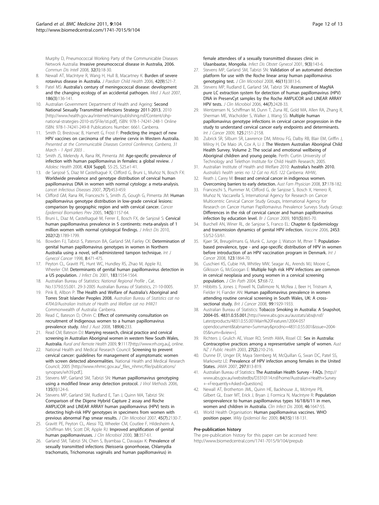<span id="page-12-0"></span>Murphy D, Pneumococcal Working Party of the Communicable Diseases Network Australia: [Invasive pneumococcal disease in Australia, 2006.](http://www.ncbi.nlm.nih.gov/pubmed/18522302?dopt=Abstract) Commun Dis Intell 2008, 32(1):18-30.

- 8. Newall AT, MacIntyre R, Wang H, Hull B, Macartney K: [Burden of severe](http://www.ncbi.nlm.nih.gov/pubmed/16925538?dopt=Abstract) [rotavirus disease in Australia.](http://www.ncbi.nlm.nih.gov/pubmed/16925538?dopt=Abstract) J Paediatr Child Health 2006, 42(9):521-7.
- Patel MS: Australia'[s century of meningococcal disease: development](http://www.ncbi.nlm.nih.gov/pubmed/17309403?dopt=Abstract) [and the changing ecology of an accidental pathogen.](http://www.ncbi.nlm.nih.gov/pubmed/17309403?dopt=Abstract) Med J Aust 2007, 186(3):136-141.
- 10. Australian Government Department of Health and Ageing: Second National Sexually Transmitted Infections Strategy 2011-2013. 2010 [\[http://www.health.gov.au/internet/main/publishing.nsf/Content/ohp](http://www.health.gov.au/internet/main/publishing.nsf/Content/ohp-national-strategies-2010-sti/$File/sti.pdf)[national-strategies-2010-sti/\\$File/sti.pdf](http://www.health.gov.au/internet/main/publishing.nsf/Content/ohp-national-strategies-2010-sti/$File/sti.pdf)], ISBN: 978-1-74241-248-1 Online ISBN: 978-1-74241-249-8 Publications Number: 6661. Canberra.
- 11. Smith D, Brestovac B, Harnett G, Frost F: Predicting the impact of new HPV vaccines on carcinoma of the uterine cervix in Western Australia. Presented at the Communicable Diseases Control Conference, Canberra, 31 March - 1 April 2003 .
- 12. Smith JS, Melendy A, Rana RK, Pimenta JM: Age-specific prevalence of infection with human papillomavirus in females: a global review. J Adolesc Health 2008, 43(4 Suppl), S5-25, S25.e1-41.
- 13. de Sanjosé S, Diaz M Castellsagué X, Clifford G, Bruni L, Muñoz N, Bosch FX: [Worldwide prevalence and genotype distribution of cervical human](http://www.ncbi.nlm.nih.gov/pubmed/17597569?dopt=Abstract) [papillomavirus DNA in women with normal cytology: a meta-analysis.](http://www.ncbi.nlm.nih.gov/pubmed/17597569?dopt=Abstract) Lancet Infectious Diseases 2007, 7(7):453-459.
- 14. Clifford GM, Rana RK, Franceschi S, Smith JS, Gough G, Pimenta JM: [Human](http://www.ncbi.nlm.nih.gov/pubmed/15894666?dopt=Abstract) [papillomavirus genotype distribution in low-grade cervical lesions:](http://www.ncbi.nlm.nih.gov/pubmed/15894666?dopt=Abstract) [comparison by geographic region and with cervical cancer.](http://www.ncbi.nlm.nih.gov/pubmed/15894666?dopt=Abstract) Cancer Epidemiol Biomarkers Prev 2005, 14(5):1157-64.
- 15. Bruni L, Diaz M, Castellsagué M, Ferrer E, Bosch FX, de Sanjosé S: [Cervical](http://www.ncbi.nlm.nih.gov/pubmed/21067372?dopt=Abstract) [human papillomavirus prevalence in 5 continents: meta-analysis of 1](http://www.ncbi.nlm.nih.gov/pubmed/21067372?dopt=Abstract) [million women with normal cytological findings.](http://www.ncbi.nlm.nih.gov/pubmed/21067372?dopt=Abstract) J Infect Dis 2010, 202(12):1789-1799.
- 16. Bowden FJ, Tabrizi S, Paterson BA, Garland SM, Fairley CK: Determination of genital human papillomavirus genotypes in women in Northern Australia using a novel, self-administered tampon technique. Int J Gynecol Cancer 1998, 8:471-475.
- 17. Peyton CL, Gravitt PE, Hunt WC, Hundley RS, Zhao M, Apple RJ, Wheeler CM: [Determinants of genital human papillomavirus detection in](http://www.ncbi.nlm.nih.gov/pubmed/11343204?dopt=Abstract) [a US population.](http://www.ncbi.nlm.nih.gov/pubmed/11343204?dopt=Abstract) J Infect Dis 2001, 183:1554-1564.
- 18. Australian Bureau of Statistics: National Regional Profile , Cat. No.1379.0.55.001. 29-3-2005 Australian Bureau of Statistics, 21-10-0005.
- 19. Pink B, Allbon P: The Health and Welfare of Australia's Aboriginal and Torres Strait Islander Peoples 2008. Australian Bureau of Statistics cat no 4704.0/Australian Institute of Health and Welfare cat no IHW21 Commonwealth of Australia: Canberra.
- 20. Read C, Bateson D, Ohrin C: [Effect of community consultation on](http://www.ncbi.nlm.nih.gov/pubmed/18707573?dopt=Abstract) [recruitment of Indigenous women to a human papillomavirus](http://www.ncbi.nlm.nih.gov/pubmed/18707573?dopt=Abstract) [prevalence study.](http://www.ncbi.nlm.nih.gov/pubmed/18707573?dopt=Abstract) Med J Aust 2008, 189(4):233.
- 21. Read CM, Bateson DJ: [Marrying research, clinical practice and cervical](http://www.ncbi.nlm.nih.gov/pubmed/19459723?dopt=Abstract) [screening in Australian Aboriginal women in western New South Wales,](http://www.ncbi.nlm.nih.gov/pubmed/19459723?dopt=Abstract) [Australia.](http://www.ncbi.nlm.nih.gov/pubmed/19459723?dopt=Abstract) Rural and Remote Health 2009, 9:1117[<http://www.rrh.org.au>], online.
- 22. National Health and Medical Research Council: Screening to prevent cervical cancer: guidelines for management of asymptomatic women with screen detected abnormalities. National Health and Medical Research Council; 2005 [\[http://www.nhmrc.gov.au/\\_files\\_nhmrc/file/publications/](http://www.nhmrc.gov.au/_files_nhmrc/file/publications/synopses/wh39.pdf.) [synopses/wh39.pdf.](http://www.nhmrc.gov.au/_files_nhmrc/file/publications/synopses/wh39.pdf.)].
- 23. Stevens MP, Garland SM, Tabrizi SN: [Human papillomavirus genotyping](http://www.ncbi.nlm.nih.gov/pubmed/16564098?dopt=Abstract) [using a modified linear array detection protocol.](http://www.ncbi.nlm.nih.gov/pubmed/16564098?dopt=Abstract) J Virol Methods 2006, 135(1):124-6.
- 24. Stevens MP, Garland SM, Rudland E, Tan J, Quinn MA, Tabrizi SN: [Comparison of the Digene Hybrid Capture 2 assay and Roche](http://www.ncbi.nlm.nih.gov/pubmed/17494721?dopt=Abstract) [AMPLICOR and LINEAR ARRAY human papillomavirus \(HPV\) tests in](http://www.ncbi.nlm.nih.gov/pubmed/17494721?dopt=Abstract) [detecting high-risk HPV genotypes in specimens from women with](http://www.ncbi.nlm.nih.gov/pubmed/17494721?dopt=Abstract) [previous abnormal Pap smear results.](http://www.ncbi.nlm.nih.gov/pubmed/17494721?dopt=Abstract) J Clin Microbiol 2007, 45(7):2130-7.
- 25. Gravitt PE, Peyton CL, Alessi TQ, Wheeler CM, Coutlee F, Hildesheim A, Schiffman MH, Scott DR, Apple RJ: [Improved amplification of genital](http://www.ncbi.nlm.nih.gov/pubmed/10618116?dopt=Abstract) [human papillomaviruses.](http://www.ncbi.nlm.nih.gov/pubmed/10618116?dopt=Abstract) J Clin Microbiol 2000, 38:357-61.
- 26. Garland SM, Tabrizi SN, Chen S, Byambaa C, Davaajav K: [Prevalence of](http://www.ncbi.nlm.nih.gov/pubmed/11516062?dopt=Abstract) [sexually transmitted infections \(Neisseria gonorrhoeae, Chlamydia](http://www.ncbi.nlm.nih.gov/pubmed/11516062?dopt=Abstract) [trachomatis, Trichomonas vaginalis and human papillomavirus\) in](http://www.ncbi.nlm.nih.gov/pubmed/11516062?dopt=Abstract)

[female attendees of a sexually transmitted diseases clinic in](http://www.ncbi.nlm.nih.gov/pubmed/11516062?dopt=Abstract) [Ulaanbaatar, Mongolia.](http://www.ncbi.nlm.nih.gov/pubmed/11516062?dopt=Abstract) Infect Dis Obstet Gynecol 2001, 9(3):143-6.

- 27. Stevens MP, Garland SM, Tabrizi SN: [Validation of an automated detection](http://www.ncbi.nlm.nih.gov/pubmed/18784316?dopt=Abstract) [platform for use with the Roche linear array human papillomavirus](http://www.ncbi.nlm.nih.gov/pubmed/18784316?dopt=Abstract) [genotyping test.](http://www.ncbi.nlm.nih.gov/pubmed/18784316?dopt=Abstract) J Clin Microbiol 2008, 46(11):3813-6.
- 28. Stevens MP, Rudland E, Garland SM, Tabrizi SN: [Assessment of MagNA](http://www.ncbi.nlm.nih.gov/pubmed/16825360?dopt=Abstract) [pure LC extraction system for detection of human papillomavirus \(HPV\)](http://www.ncbi.nlm.nih.gov/pubmed/16825360?dopt=Abstract) [DNA in PreservCyt samples by the Roche AMPLICOR and LINEAR ARRAY](http://www.ncbi.nlm.nih.gov/pubmed/16825360?dopt=Abstract) [HPV tests.](http://www.ncbi.nlm.nih.gov/pubmed/16825360?dopt=Abstract) J Clin Microbiol 2006, 44(7):2428-33.
- 29. Wentzensen N, Schiffman M, Dunn T, Zuna RE, Gold MA, Allen RA, Zhang R, Sherman ME, Wacholder S, Walker J, Wang SS: [Multiple human](http://www.ncbi.nlm.nih.gov/pubmed/19585494?dopt=Abstract) [papillomavirus genotype infections in cervical cancer progression in the](http://www.ncbi.nlm.nih.gov/pubmed/19585494?dopt=Abstract) [study to understand cervical cancer early endpoints and determinants.](http://www.ncbi.nlm.nih.gov/pubmed/19585494?dopt=Abstract) Int J Cancer 2009, 125:2151-2158.
- 30. Zubrick SR, Silburn SR, Lawrence DM, Mitrou FG, Dalby RB, Blair EM, Griffin J, Milroy H, De Maio JA, Cox A, Li J: The Western Australian Aboriginal Child Health Survey. Volume 2: The social and emotional wellbeing of Aboriginal children and young people. Perth: Curtin University of Technology and Telethon Institute for Child Health Research; 2005.
- 31. Australian Institute of Health and Welfare 2010: Australia'[s health 2010.](http://www.ncbi.nlm.nih.gov/pubmed/21919178?dopt=Abstract) Australia's health series no 12 Cat no AUS 122 Canberra: AIHW;.
- 32. Reath J, Carey M: [Breast and cervical cancer in indigenous women.](http://www.ncbi.nlm.nih.gov/pubmed/18345371?dopt=Abstract) [Overcoming barriers to early detection.](http://www.ncbi.nlm.nih.gov/pubmed/18345371?dopt=Abstract) Aust Fam Physician 2008, 37:178-182.
- 33. Franceschi S, Plummer M, Clifford G, de Sanjose S, Bosch X, Herrero R, Muñoz N, Vaccarella S, International Agency for Research on Cancer Multicentric Cervical Cancer Study Groups, International Agency for Research on Cancer Human Papillomavirus Prevalence Surveys Study Group: [Differences in the risk of cervical cancer and human papillomavirus](http://www.ncbi.nlm.nih.gov/pubmed/19654578?dopt=Abstract) [infection by education level.](http://www.ncbi.nlm.nih.gov/pubmed/19654578?dopt=Abstract) Br J Cancer 2009, 101(5):865-70.
- 34. Burchell AN, Winer RL, de Sanjose S, Franco EL: Chapter 6: Epidemiology and transmission dynamics of genital HPV infection. Vaccine 2006, 24S3: S3/52-S3/61.
- 35. Kjaer SK, Breugelmans G, Munk C, Junge J, Watson M, Iftner T: [Population](http://www.ncbi.nlm.nih.gov/pubmed/18661520?dopt=Abstract)based prevalence, [type - and age-specific distribution of HPV in women](http://www.ncbi.nlm.nih.gov/pubmed/18661520?dopt=Abstract) [before introduction of an HPV vaccination program in Denmark.](http://www.ncbi.nlm.nih.gov/pubmed/18661520?dopt=Abstract) Int J Cancer 2008, 123:1864-70.
- 36. Cuschieri KS, Cubie HA, Whitley MW, Seagar AL, Arends MJ, Moore C, Gilkisson G, McGoogan E: [Multiple high risk HPV infections are common](http://www.ncbi.nlm.nih.gov/pubmed/14693839?dopt=Abstract) [in cervical neoplasia and young women in a cervical screening](http://www.ncbi.nlm.nih.gov/pubmed/14693839?dopt=Abstract) [population.](http://www.ncbi.nlm.nih.gov/pubmed/14693839?dopt=Abstract) J Clin Path 2004, 57:68-72.
- 37. Hibbitts S, Jones J, Powell N, Dallimore N, McRea J, Beer H, Tristram A, Fielder H, Fiander AN: [Human papillomavirus prevalence in women](http://www.ncbi.nlm.nih.gov/pubmed/19034285?dopt=Abstract) [attending routine cervical screening in South Wales, UK: A cross](http://www.ncbi.nlm.nih.gov/pubmed/19034285?dopt=Abstract)[sectional study.](http://www.ncbi.nlm.nih.gov/pubmed/19034285?dopt=Abstract) Brit J Cancer 2008, 99:1929-1933.
- Australian Bureau of Statistics: Tobacco Smoking in Australia: A Snapshot, 2004-05. 4831.0.55.001.[[http://www.abs.gov.au/ausstats/abs@.nsf/](http://www.abs.gov.au/ausstats/abs@.nsf/Latestproducts/4831.0.55.001Main%20Features12004-05?opendocument&tabname=Summary&prodno=4831.0.55.001&issue=2004-05&num=&view=) [Latestproducts/4831.0.55.001Main%20Features12004-05?](http://www.abs.gov.au/ausstats/abs@.nsf/Latestproducts/4831.0.55.001Main%20Features12004-05?opendocument&tabname=Summary&prodno=4831.0.55.001&issue=2004-05&num=&view=) [opendocument&tabname=Summary&prodno=4831.0.55.001&issue=2004-](http://www.abs.gov.au/ausstats/abs@.nsf/Latestproducts/4831.0.55.001Main%20Features12004-05?opendocument&tabname=Summary&prodno=4831.0.55.001&issue=2004-05&num=&view=) [05&num=&view=](http://www.abs.gov.au/ausstats/abs@.nsf/Latestproducts/4831.0.55.001Main%20Features12004-05?opendocument&tabname=Summary&prodno=4831.0.55.001&issue=2004-05&num=&view=)].
- 39. Richters J, Grulich AE, Visser RO, Smith AMA, Rissel CE: Sex in Australia: Contraceptive practices among a representative sample of women. Aust NZ J Public Health 2003, 27(2):210-216.
- 40. Dunne EF, Unger ER, Maya Sternberg M, McQuillan G, Swan DC, Patel SS, Markowitz LE: [Prevalence of HPV infection among females in the United](http://www.ncbi.nlm.nih.gov/pubmed/17327523?dopt=Abstract) [States.](http://www.ncbi.nlm.nih.gov/pubmed/17327523?dopt=Abstract) JAMA 2007, 297:813-819.
- 41. Australian Bureau of Statistics: The Australian Health Survey FAQs. [[http://](http://www.abs.gov.au/websitedbs/D3310114.nsf/home/Australian+Health+Survey+-+Frequently+Asked+Questions) [www.abs.gov.au/websitedbs/D3310114.nsf/home/Australian+Health+Survey](http://www.abs.gov.au/websitedbs/D3310114.nsf/home/Australian+Health+Survey+-+Frequently+Asked+Questions) [+-+Frequently+Asked+Questions\]](http://www.abs.gov.au/websitedbs/D3310114.nsf/home/Australian+Health+Survey+-+Frequently+Asked+Questions).
- 42. Newall AT, Brotherton JML, Quinn HE, Backhouse JL, McIntyre PB, Gilbert GL, Esser MT, Erick J, Bryan J, Formica N, MacIntyre R: [Population](http://www.ncbi.nlm.nih.gov/pubmed/18444790?dopt=Abstract) [seroprevalence to human papillomavirus types 16/18/6/11 in men,](http://www.ncbi.nlm.nih.gov/pubmed/18444790?dopt=Abstract) [women and children in Australia.](http://www.ncbi.nlm.nih.gov/pubmed/18444790?dopt=Abstract) Clin Infect Dis 2008, 46:1647-55.
- 43. World Health Organisation: [Human papillomavirus vaccines. WHO](http://www.ncbi.nlm.nih.gov/pubmed/19360985?dopt=Abstract) [position paper.](http://www.ncbi.nlm.nih.gov/pubmed/19360985?dopt=Abstract) Wkly Epidemiol Rec 2009, 84(15):118-131.

#### Pre-publication history

The pre-publication history for this paper can be accessed here: <http://www.biomedcentral.com/1741-7015/9/104/prepub>